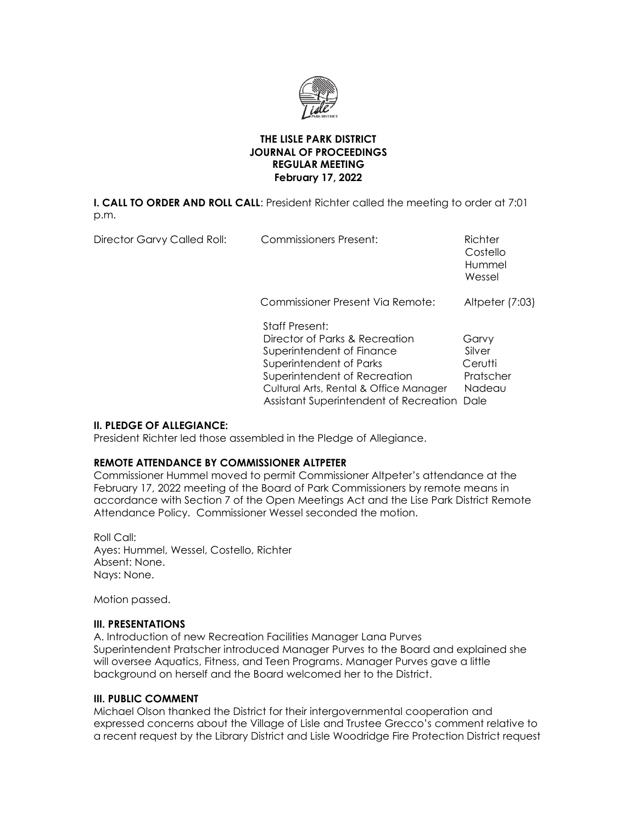

#### **THE LISLE PARK DISTRICT JOURNAL OF PROCEEDINGS REGULAR MEETING February 17, 2022**

**I. CALL TO ORDER AND ROLL CALL**: President Richter called the meeting to order at 7:01 p.m.

| Director Garvy Called Roll: | <b>Commissioners Present:</b>                                                                                                                                                                                                       | Richter<br>Costello<br>Hummel<br>Wessel                   |
|-----------------------------|-------------------------------------------------------------------------------------------------------------------------------------------------------------------------------------------------------------------------------------|-----------------------------------------------------------|
|                             | Commissioner Present Via Remote:                                                                                                                                                                                                    | Altpeter (7:03)                                           |
|                             | <b>Staff Present:</b><br>Director of Parks & Recreation<br>Superintendent of Finance<br>Superintendent of Parks<br>Superintendent of Recreation<br>Cultural Arts, Rental & Office Manager<br>Assistant Superintendent of Recreation | Garvy<br>Silver<br>Cerutti<br>Pratscher<br>Nadeau<br>Dale |

# **II. PLEDGE OF ALLEGIANCE:**

President Richter led those assembled in the Pledge of Allegiance.

# **REMOTE ATTENDANCE BY COMMISSIONER ALTPETER**

Commissioner Hummel moved to permit Commissioner Altpeter's attendance at the February 17, 2022 meeting of the Board of Park Commissioners by remote means in accordance with Section 7 of the Open Meetings Act and the Lise Park District Remote Attendance Policy. Commissioner Wessel seconded the motion.

Roll Call: Ayes: Hummel, Wessel, Costello, Richter Absent: None. Nays: None.

Motion passed.

#### **III. PRESENTATIONS**

A. Introduction of new Recreation Facilities Manager Lana Purves Superintendent Pratscher introduced Manager Purves to the Board and explained she will oversee Aquatics, Fitness, and Teen Programs. Manager Purves gave a little background on herself and the Board welcomed her to the District.

# **III. PUBLIC COMMENT**

Michael Olson thanked the District for their intergovernmental cooperation and expressed concerns about the Village of Lisle and Trustee Grecco's comment relative to a recent request by the Library District and Lisle Woodridge Fire Protection District request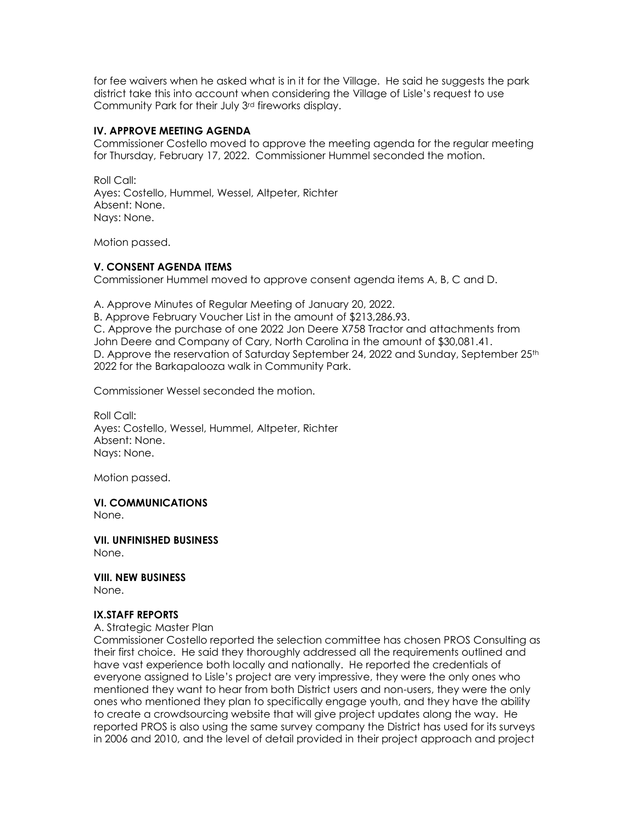for fee waivers when he asked what is in it for the Village. He said he suggests the park district take this into account when considering the Village of Lisle's request to use Community Park for their July 3rd fireworks display.

### **IV. APPROVE MEETING AGENDA**

Commissioner Costello moved to approve the meeting agenda for the regular meeting for Thursday, February 17, 2022. Commissioner Hummel seconded the motion.

Roll Call: Ayes: Costello, Hummel, Wessel, Altpeter, Richter Absent: None. Nays: None.

Motion passed.

#### **V. CONSENT AGENDA ITEMS**

Commissioner Hummel moved to approve consent agenda items A, B, C and D.

A. Approve Minutes of Regular Meeting of January 20, 2022.

B. Approve February Voucher List in the amount of \$213,286.93.

C. Approve the purchase of one 2022 Jon Deere X758 Tractor and attachments from John Deere and Company of Cary, North Carolina in the amount of \$30,081.41. D. Approve the reservation of Saturday September 24, 2022 and Sunday, September 25<sup>th</sup> 2022 for the Barkapalooza walk in Community Park.

Commissioner Wessel seconded the motion.

Roll Call: Ayes: Costello, Wessel, Hummel, Altpeter, Richter Absent: None. Nays: None.

Motion passed.

**VI. COMMUNICATIONS** None.

**VII. UNFINISHED BUSINESS** None.

**VIII. NEW BUSINESS** None.

#### **IX.STAFF REPORTS**

A. Strategic Master Plan

Commissioner Costello reported the selection committee has chosen PROS Consulting as their first choice. He said they thoroughly addressed all the requirements outlined and have vast experience both locally and nationally. He reported the credentials of everyone assigned to Lisle's project are very impressive, they were the only ones who mentioned they want to hear from both District users and non-users, they were the only ones who mentioned they plan to specifically engage youth, and they have the ability to create a crowdsourcing website that will give project updates along the way. He reported PROS is also using the same survey company the District has used for its surveys in 2006 and 2010, and the level of detail provided in their project approach and project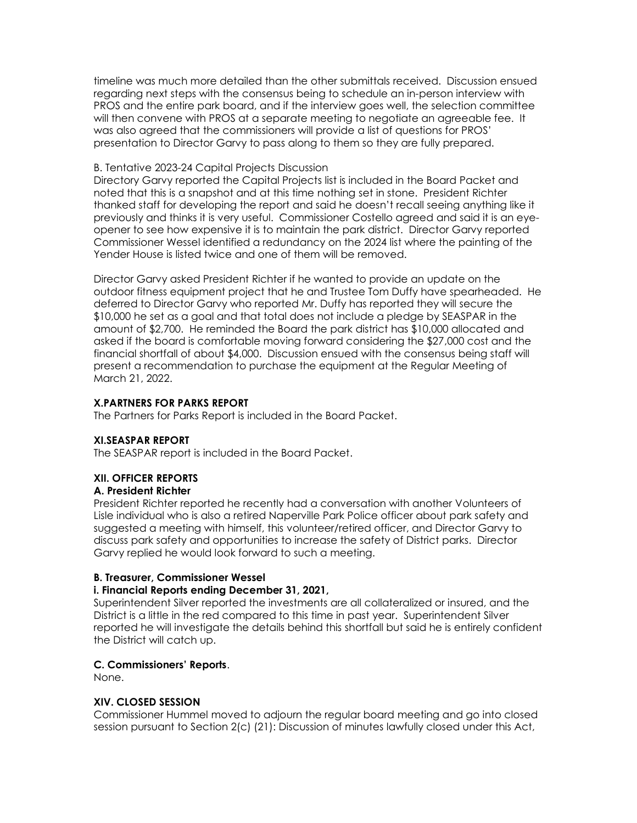timeline was much more detailed than the other submittals received. Discussion ensued regarding next steps with the consensus being to schedule an in-person interview with PROS and the entire park board, and if the interview goes well, the selection committee will then convene with PROS at a separate meeting to negotiate an agreeable fee. It was also agreed that the commissioners will provide a list of questions for PROS' presentation to Director Garvy to pass along to them so they are fully prepared.

#### B. Tentative 2023-24 Capital Projects Discussion

Directory Garvy reported the Capital Projects list is included in the Board Packet and noted that this is a snapshot and at this time nothing set in stone. President Richter thanked staff for developing the report and said he doesn't recall seeing anything like it previously and thinks it is very useful. Commissioner Costello agreed and said it is an eyeopener to see how expensive it is to maintain the park district. Director Garvy reported Commissioner Wessel identified a redundancy on the 2024 list where the painting of the Yender House is listed twice and one of them will be removed.

Director Garvy asked President Richter if he wanted to provide an update on the outdoor fitness equipment project that he and Trustee Tom Duffy have spearheaded. He deferred to Director Garvy who reported Mr. Duffy has reported they will secure the \$10,000 he set as a goal and that total does not include a pledge by SEASPAR in the amount of \$2,700. He reminded the Board the park district has \$10,000 allocated and asked if the board is comfortable moving forward considering the \$27,000 cost and the financial shortfall of about \$4,000. Discussion ensued with the consensus being staff will present a recommendation to purchase the equipment at the Regular Meeting of March 21, 2022.

# **X.PARTNERS FOR PARKS REPORT**

The Partners for Parks Report is included in the Board Packet.

# **XI.SEASPAR REPORT**

The SEASPAR report is included in the Board Packet.

# **XII. OFFICER REPORTS**

# **A. President Richter**

President Richter reported he recently had a conversation with another Volunteers of Lisle individual who is also a retired Naperville Park Police officer about park safety and suggested a meeting with himself, this volunteer/retired officer, and Director Garvy to discuss park safety and opportunities to increase the safety of District parks. Director Garvy replied he would look forward to such a meeting.

#### **B. Treasurer, Commissioner Wessel**

# **i. Financial Reports ending December 31, 2021,**

Superintendent Silver reported the investments are all collateralized or insured, and the District is a little in the red compared to this time in past year. Superintendent Silver reported he will investigate the details behind this shortfall but said he is entirely confident the District will catch up.

# **C. Commissioners' Reports**.

None.

# **XIV. CLOSED SESSION**

Commissioner Hummel moved to adjourn the regular board meeting and go into closed session pursuant to Section 2(c) (21): Discussion of minutes lawfully closed under this Act,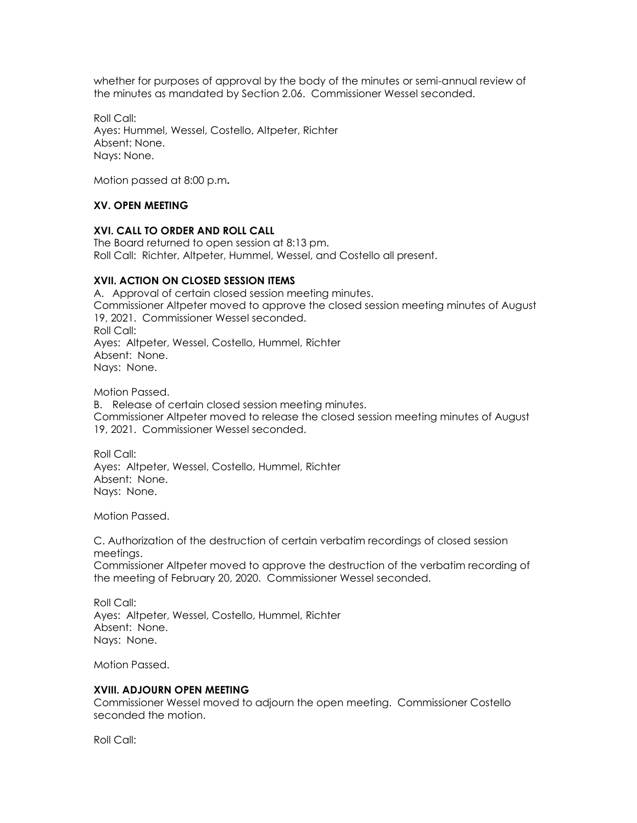whether for purposes of approval by the body of the minutes or semi-annual review of the minutes as mandated by Section 2.06. Commissioner Wessel seconded.

Roll Call: Ayes: Hummel, Wessel, Costello, Altpeter, Richter Absent: None. Nays: None.

Motion passed at 8:00 p.m**.**

# **XV. OPEN MEETING**

### **XVI. CALL TO ORDER AND ROLL CALL**

The Board returned to open session at 8:13 pm. Roll Call: Richter, Altpeter, Hummel, Wessel, and Costello all present.

#### **XVII. ACTION ON CLOSED SESSION ITEMS**

A. Approval of certain closed session meeting minutes. Commissioner Altpeter moved to approve the closed session meeting minutes of August 19, 2021. Commissioner Wessel seconded. Roll Call: Ayes: Altpeter, Wessel, Costello, Hummel, Richter Absent: None. Nays: None.

Motion Passed.

B. Release of certain closed session meeting minutes. Commissioner Altpeter moved to release the closed session meeting minutes of August 19, 2021. Commissioner Wessel seconded.

Roll Call: Ayes: Altpeter, Wessel, Costello, Hummel, Richter Absent: None. Nays: None.

Motion Passed.

C. Authorization of the destruction of certain verbatim recordings of closed session meetings. Commissioner Altpeter moved to approve the destruction of the verbatim recording of the meeting of February 20, 2020. Commissioner Wessel seconded.

Roll Call: Ayes: Altpeter, Wessel, Costello, Hummel, Richter Absent: None. Nays: None.

Motion Passed.

#### **XVIII. ADJOURN OPEN MEETING**

Commissioner Wessel moved to adjourn the open meeting. Commissioner Costello seconded the motion.

Roll Call: